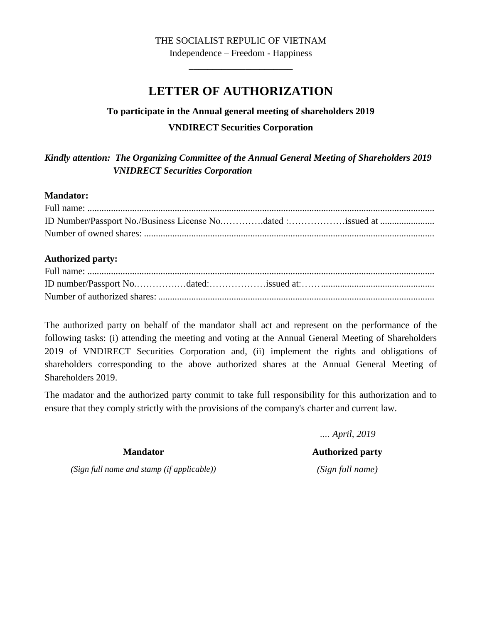## THE SOCIALIST REPULIC OF VIETNAM

Independence – Freedom - Happiness \_\_\_\_\_\_\_\_\_\_\_\_\_\_\_\_\_\_\_\_\_\_

# **LETTER OF AUTHORIZATION**

## **To participate in the Annual general meeting of shareholders 2019 VNDIRECT Securities Corporation**

*Kindly attention: The Organizing Committee of the Annual General Meeting of Shareholders 2019 VNIDRECT Securities Corporation*

## **Mandator:**

| ID Number/Passport No./Business License Nodated :issued at |  |  |
|------------------------------------------------------------|--|--|
|                                                            |  |  |

## **Authorized party:**

The authorized party on behalf of the mandator shall act and represent on the performance of the following tasks: (i) attending the meeting and voting at the Annual General Meeting of Shareholders 2019 of VNDIRECT Securities Corporation and, (ii) implement the rights and obligations of shareholders corresponding to the above authorized shares at the Annual General Meeting of Shareholders 2019.

The madator and the authorized party commit to take full responsibility for this authorization and to ensure that they comply strictly with the provisions of the company's charter and current law.

> *…. April, 2019* **Authorized party** *(Sign full name)*

**Mandator**

*(Sign full name and stamp (if applicable))*